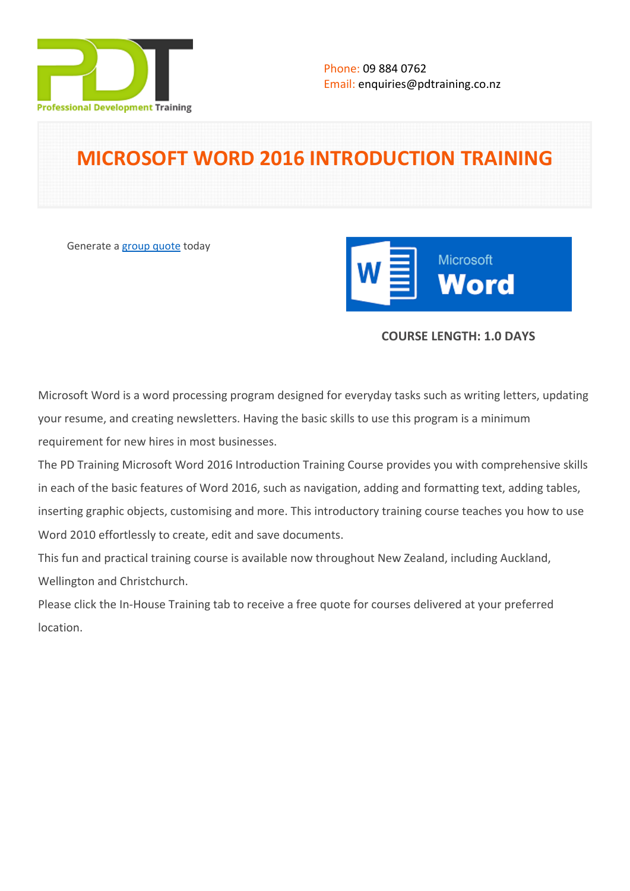

# **MICROSOFT WORD 2016 INTRODUCTION TRAINING**

Generate a [group quote](https://pdtraining.co.nz/inhouse-training-quote?cse=MSW16IN) today



# **COURSE LENGTH: 1.0 DAYS**

Microsoft Word is a word processing program designed for everyday tasks such as writing letters, updating your resume, and creating newsletters. Having the basic skills to use this program is a minimum requirement for new hires in most businesses.

The PD Training Microsoft Word 2016 Introduction Training Course provides you with comprehensive skills in each of the basic features of Word 2016, such as navigation, adding and formatting text, adding tables, inserting graphic objects, customising and more. This introductory training course teaches you how to use Word 2010 effortlessly to create, edit and save documents.

This fun and practical training course is available now throughout New Zealand, including Auckland, Wellington and Christchurch.

Please click the In-House Training tab to receive a free quote for courses delivered at your preferred location.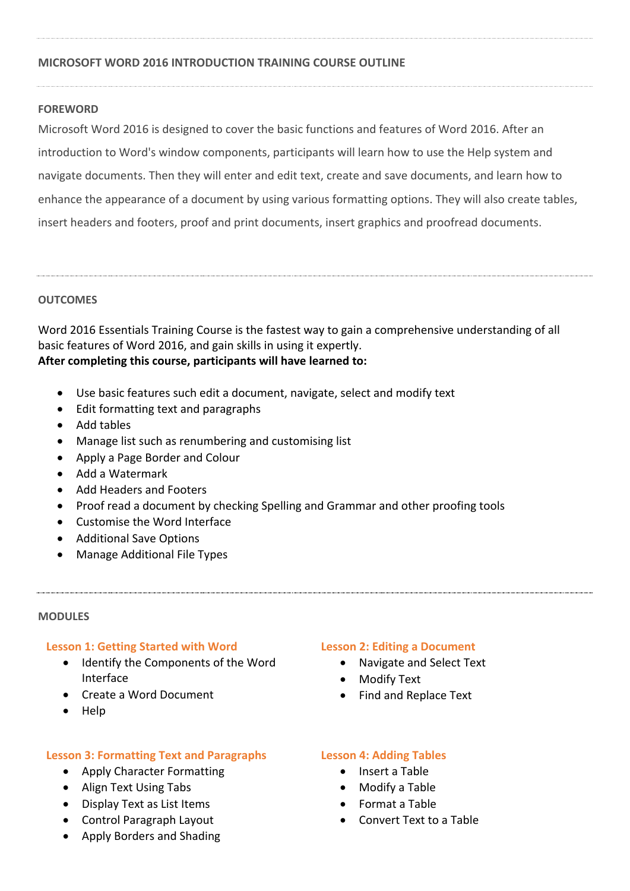## **MICROSOFT WORD 2016 INTRODUCTION TRAINING COURSE OUTLINE**

### **FOREWORD**

Microsoft Word 2016 is designed to cover the basic functions and features of Word 2016. After an introduction to Word's window components, participants will learn how to use the Help system and navigate documents. Then they will enter and edit text, create and save documents, and learn how to enhance the appearance of a document by using various formatting options. They will also create tables, insert headers and footers, proof and print documents, insert graphics and proofread documents.

### **OUTCOMES**

Word 2016 Essentials Training Course is the fastest way to gain a comprehensive understanding of all basic features of Word 2016, and gain skills in using it expertly. **After completing this course, participants will have learned to:**

- Use basic features such edit a document, navigate, select and modify text
- Edit formatting text and paragraphs
- Add tables
- Manage list such as renumbering and customising list
- Apply a Page Border and Colour
- Add a Watermark
- Add Headers and Footers
- Proof read a document by checking Spelling and Grammar and other proofing tools
- Customise the Word Interface
- Additional Save Options
- Manage Additional File Types

#### **MODULES**

#### **Lesson 1: Getting Started with Word**

- Identify the Components of the Word Interface
- Create a Word Document
- Help

# **Lesson 3: Formatting Text and Paragraphs**

- Apply Character Formatting
- Align Text Using Tabs
- Display Text as List Items
- Control Paragraph Layout
- Apply Borders and Shading

### **Lesson 2: Editing a Document**

- Navigate and Select Text
- Modify Text
- Find and Replace Text

### **Lesson 4: Adding Tables**

- Insert a Table
- Modify a Table
- Format a Table
- Convert Text to a Table